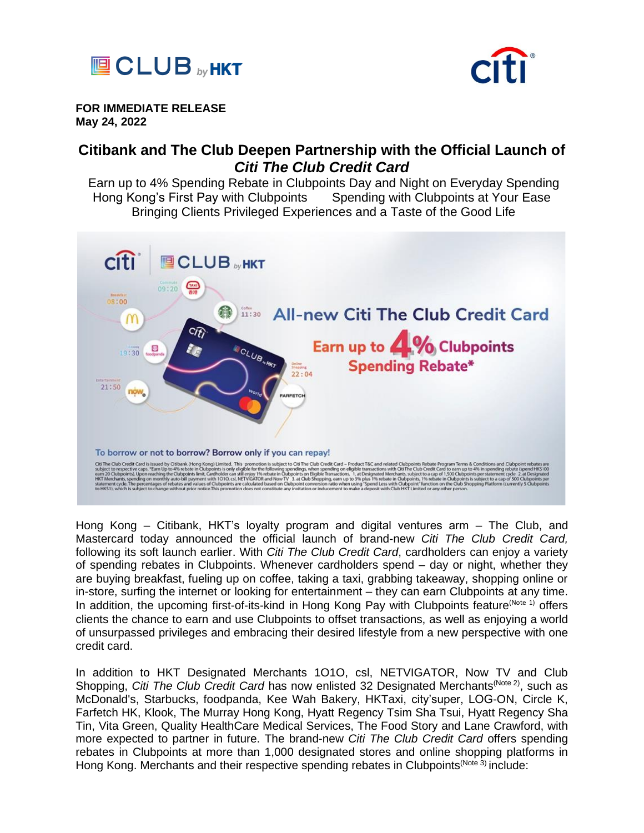



**FOR IMMEDIATE RELEASE May 24, 2022**

# **Citibank and The Club Deepen Partnership with the Official Launch of** *Citi The Club Credit Card*

Earn up to 4% Spending Rebate in Clubpoints Day and Night on Everyday Spending Hong Kong's First Pay with Clubpoints Spending with Clubpoints at Your Ease Bringing Clients Privileged Experiences and a Taste of the Good Life



Hong Kong – Citibank, HKT's loyalty program and digital ventures arm – The Club, and Mastercard today announced the official launch of brand-new *Citi The Club Credit Card,*  following its soft launch earlier. With *Citi The Club Credit Card*, cardholders can enjoy a variety of spending rebates in Clubpoints. Whenever cardholders spend – day or night, whether they are buying breakfast, fueling up on coffee, taking a taxi, grabbing takeaway, shopping online or in-store, surfing the internet or looking for entertainment – they can earn Clubpoints at any time. In addition, the upcoming first-of-its-kind in Hong Kong Pay with Clubpoints feature<sup>(Note 1)</sup> offers clients the chance to earn and use Clubpoints to offset transactions, as well as enjoying a world of unsurpassed privileges and embracing their desired lifestyle from a new perspective with one credit card.

In addition to HKT Designated Merchants 1O1O, csl, NETVIGATOR, Now TV and Club Shopping, *Citi The Club Credit Card* has now enlisted 32 Designated Merchants<sup>(Note 2)</sup>, such as McDonald's, Starbucks, foodpanda, Kee Wah Bakery, HKTaxi, city'super, LOG-ON, Circle K, Farfetch HK, Klook, The Murray Hong Kong, Hyatt Regency Tsim Sha Tsui, Hyatt Regency Sha Tin, Vita Green, Quality HealthCare Medical Services, The Food Story and Lane Crawford, with more expected to partner in future. The brand-new *Citi The Club Credit Card* offers spending rebates in Clubpoints at more than 1,000 designated stores and online shopping platforms in Hong Kong. Merchants and their respective spending rebates in Clubpoints<sup>(Note 3)</sup> include: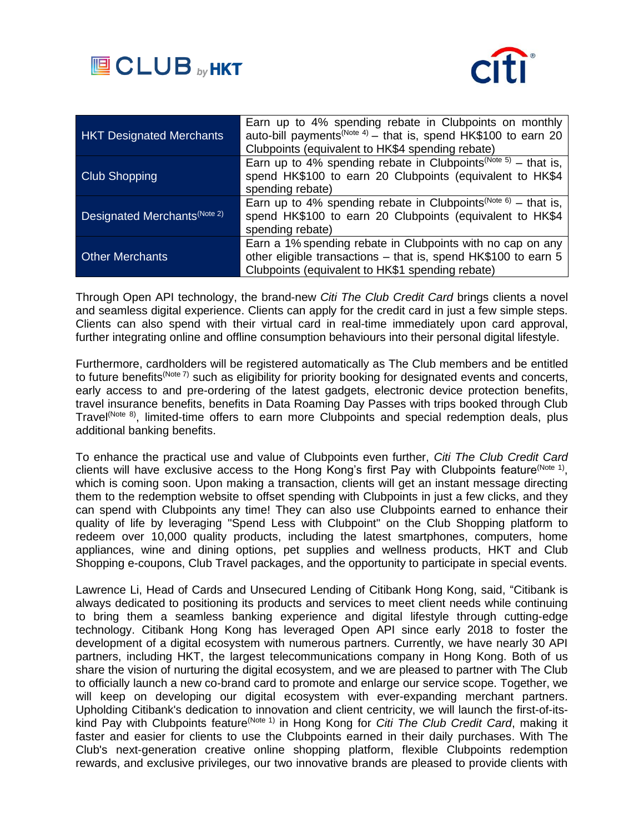



| <b>HKT Designated Merchants</b> | Earn up to 4% spending rebate in Clubpoints on monthly<br>auto-bill payments <sup>(Note 4)</sup> – that is, spend HK\$100 to earn 20<br>Clubpoints (equivalent to HK\$4 spending rebate) |
|---------------------------------|------------------------------------------------------------------------------------------------------------------------------------------------------------------------------------------|
| <b>Club Shopping</b>            | Earn up to 4% spending rebate in Clubpoints <sup>(Note 5)</sup> – that is,<br>spend HK\$100 to earn 20 Clubpoints (equivalent to HK\$4<br>spending rebate)                               |
| Designated Merchants Note 2)    | Earn up to 4% spending rebate in Clubpoints <sup>(Note 6)</sup> – that is,<br>spend HK\$100 to earn 20 Clubpoints (equivalent to HK\$4<br>spending rebate)                               |
| <b>Other Merchants</b>          | Earn a 1% spending rebate in Clubpoints with no cap on any<br>other eligible transactions - that is, spend HK\$100 to earn 5<br>Clubpoints (equivalent to HK\$1 spending rebate)         |

Through Open API technology, the brand-new *Citi The Club Credit Card* brings clients a novel and seamless digital experience. Clients can apply for the credit card in just a few simple steps. Clients can also spend with their virtual card in real-time immediately upon card approval, further integrating online and offline consumption behaviours into their personal digital lifestyle.

Furthermore, cardholders will be registered automatically as The Club members and be entitled to future benefits<sup>(Note 7)</sup> such as eligibility for priority booking for designated events and concerts, early access to and pre-ordering of the latest gadgets, electronic device protection benefits, travel insurance benefits, benefits in Data Roaming Day Passes with trips booked through Club Travel<sup>(Note 8)</sup>, limited-time offers to earn more Clubpoints and special redemption deals, plus additional banking benefits.

To enhance the practical use and value of Clubpoints even further, *Citi The Club Credit Card* clients will have exclusive access to the Hong Kong's first Pay with Clubpoints feature<sup>(Note 1)</sup>, which is coming soon. Upon making a transaction, clients will get an instant message directing them to the redemption website to offset spending with Clubpoints in just a few clicks, and they can spend with Clubpoints any time! They can also use Clubpoints earned to enhance their quality of life by leveraging "Spend Less with Clubpoint" on the Club Shopping platform to redeem over 10,000 quality products, including the latest smartphones, computers, home appliances, wine and dining options, pet supplies and wellness products, HKT and Club Shopping e-coupons, Club Travel packages, and the opportunity to participate in special events.

Lawrence Li, Head of Cards and Unsecured Lending of Citibank Hong Kong, said, "Citibank is always dedicated to positioning its products and services to meet client needs while continuing to bring them a seamless banking experience and digital lifestyle through cutting-edge technology. Citibank Hong Kong has leveraged Open API since early 2018 to foster the development of a digital ecosystem with numerous partners. Currently, we have nearly 30 API partners, including HKT, the largest telecommunications company in Hong Kong. Both of us share the vision of nurturing the digital ecosystem, and we are pleased to partner with The Club to officially launch a new co-brand card to promote and enlarge our service scope. Together, we will keep on developing our digital ecosystem with ever-expanding merchant partners. Upholding Citibank's dedication to innovation and client centricity, we will launch the first-of-itskind Pay with Clubpoints feature<sup>(Note 1)</sup> in Hong Kong for *Citi The Club Credit Card*, making it faster and easier for clients to use the Clubpoints earned in their daily purchases. With The Club's next-generation creative online shopping platform, flexible Clubpoints redemption rewards, and exclusive privileges, our two innovative brands are pleased to provide clients with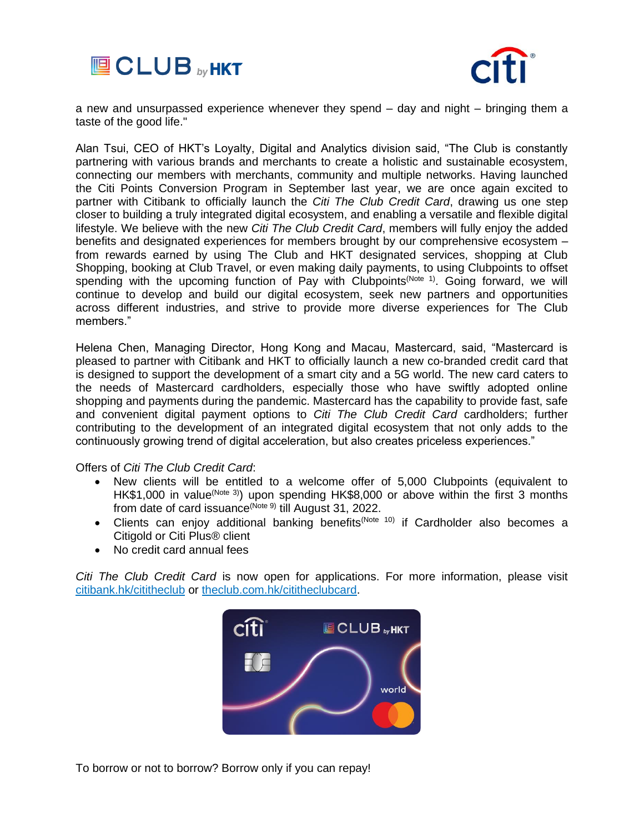



a new and unsurpassed experience whenever they spend – day and night – bringing them a taste of the good life."

Alan Tsui, CEO of HKT's Loyalty, Digital and Analytics division said, "The Club is constantly partnering with various brands and merchants to create a holistic and sustainable ecosystem, connecting our members with merchants, community and multiple networks. Having launched the Citi Points Conversion Program in September last year, we are once again excited to partner with Citibank to officially launch the *Citi The Club Credit Card*, drawing us one step closer to building a truly integrated digital ecosystem, and enabling a versatile and flexible digital lifestyle. We believe with the new *Citi The Club Credit Card*, members will fully enjoy the added benefits and designated experiences for members brought by our comprehensive ecosystem – from rewards earned by using The Club and HKT designated services, shopping at Club Shopping, booking at Club Travel, or even making daily payments, to using Clubpoints to offset spending with the upcoming function of Pay with Clubpoints<sup>(Note 1)</sup>. Going forward, we will continue to develop and build our digital ecosystem, seek new partners and opportunities across different industries, and strive to provide more diverse experiences for The Club members."

Helena Chen, Managing Director, Hong Kong and Macau, Mastercard, said, "Mastercard is pleased to partner with Citibank and HKT to officially launch a new co-branded credit card that is designed to support the development of a smart city and a 5G world. The new card caters to the needs of Mastercard cardholders, especially those who have swiftly adopted online shopping and payments during the pandemic. Mastercard has the capability to provide fast, safe and convenient digital payment options to *Citi The Club Credit Card* cardholders; further contributing to the development of an integrated digital ecosystem that not only adds to the continuously growing trend of digital acceleration, but also creates priceless experiences."

Offers of *Citi The Club Credit Card*:

- New clients will be entitled to a welcome offer of 5,000 Clubpoints (equivalent to HK\$1,000 in value<sup>(Note 3)</sup>) upon spending HK\$8,000 or above within the first 3 months from date of card issuance<sup>(Note 9)</sup> till August 31, 2022.
- Clients can enjoy additional banking benefits<sup>(Note 10)</sup> if Cardholder also becomes a Citigold or Citi Plus® client
- No credit card annual fees

*Citi The Club Credit Card* is now open for applications. For more information, please visit [citibank.hk/cititheclub](file:///C:/Users/02002171/Downloads/citibank.hk/cititheclub) or [theclub.com.hk/cititheclubcard.](file:///C:/Users/02002171/Downloads/theclub.com.hk/cititheclubcard)



To borrow or not to borrow? Borrow only if you can repay!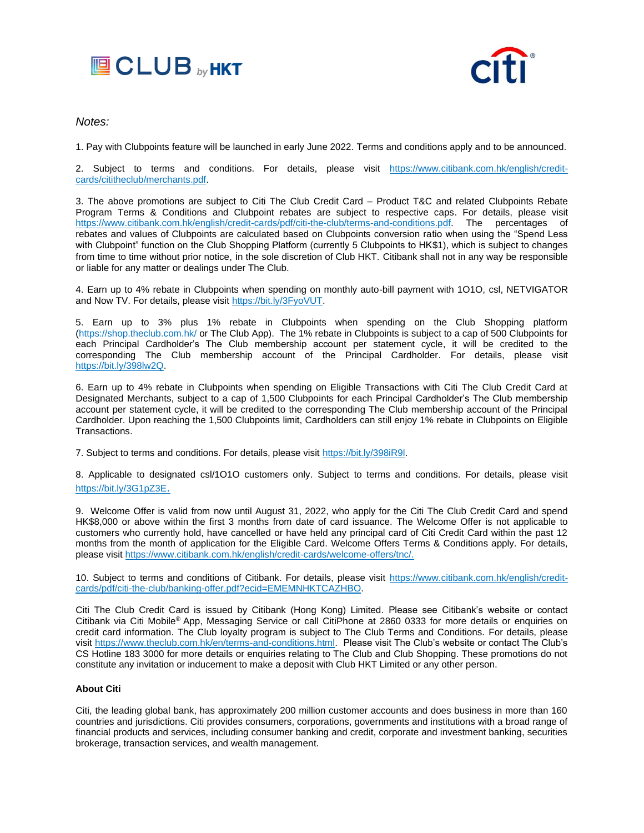



# *Notes:*

1. Pay with Clubpoints feature will be launched in early June 2022. Terms and conditions apply and to be announced.

2. Subject to terms and conditions. For details, please visit [https://www.citibank.com.hk/english/credit](https://www.citibank.com.hk/english/credit-cards/cititheclub/merchants.pdf)[cards/cititheclub/merchants.pdf.](https://www.citibank.com.hk/english/credit-cards/cititheclub/merchants.pdf)

3. The above promotions are subject to Citi The Club Credit Card – Product T&C and related Clubpoints Rebate Program Terms & Conditions and Clubpoint rebates are subject to respective caps. For details, please visit [https://www.citibank.com.hk/english/credit-cards/pdf/citi-the-club/terms-and-conditions.pdf.](https://www.citibank.com.hk/english/credit-cards/pdf/citi-the-club/terms-and-conditions.pdf) The percentages of rebates and values of Clubpoints are calculated based on Clubpoints conversion ratio when using the "Spend Less with Clubpoint" function on the Club Shopping Platform (currently 5 Clubpoints to HK\$1), which is subject to changes from time to time without prior notice, in the sole discretion of Club HKT. Citibank shall not in any way be responsible or liable for any matter or dealings under The Club.

4. Earn up to 4% rebate in Clubpoints when spending on monthly auto-bill payment with 1O1O, csl, NETVIGATOR and Now TV. For details, please visi[t https://bit.ly/3FyoVUT.](https://bit.ly/3FyoVUT)

5. Earn up to 3% plus 1% rebate in Clubpoints when spending on the Club Shopping platform [\(https://shop.theclub.com.hk/](https://shop.theclub.com.hk/) or The Club App). The 1% rebate in Clubpoints is subject to a cap of 500 Clubpoints for each Principal Cardholder's The Club membership account per statement cycle, it will be credited to the corresponding The Club membership account of the Principal Cardholder. For details, please visit [https://bit.ly/398lw2Q.](https://bit.ly/398lw2Q)

6. Earn up to 4% rebate in Clubpoints when spending on Eligible Transactions with Citi The Club Credit Card at Designated Merchants, subject to a cap of 1,500 Clubpoints for each Principal Cardholder's The Club membership account per statement cycle, it will be credited to the corresponding The Club membership account of the Principal Cardholder. Upon reaching the 1,500 Clubpoints limit, Cardholders can still enjoy 1% rebate in Clubpoints on Eligible Transactions.

7. Subject to terms and conditions. For details, please visit [https://bit.ly/398iR9l.](https://bit.ly/398iR9l)

8. Applicable to designated csl/1O1O customers only. Subject to terms and conditions. For details, please visit <https://bit.ly/3G1pZ3E>.

9. Welcome Offer is valid from now until August 31, 2022, who apply for the Citi The Club Credit Card and spend HK\$8,000 or above within the first 3 months from date of card issuance. The Welcome Offer is not applicable to customers who currently hold, have cancelled or have held any principal card of Citi Credit Card within the past 12 months from the month of application for the Eligible Card. Welcome Offers Terms & Conditions apply. For details, please visit [https://www.citibank.com.hk/english/credit-cards/welcome-offers/tnc/.](https://www.citibank.com.hk/english/credit-cards/welcome-offers/tnc/)

10. Subject to terms and conditions of Citibank. For details, please visit [https://www.citibank.com.hk/english/credit](https://www.citibank.com.hk/english/credit-cards/pdf/citi-the-club/banking-offer.pdf?ecid=EMEMNHKTCAZHBO)[cards/pdf/citi-the-club/banking-offer.pdf?ecid=EMEMNHKTCAZHBO.](https://www.citibank.com.hk/english/credit-cards/pdf/citi-the-club/banking-offer.pdf?ecid=EMEMNHKTCAZHBO)

Citi The Club Credit Card is issued by Citibank (Hong Kong) Limited. Please see Citibank's website or contact Citibank via Citi Mobile® App, Messaging Service or call CitiPhone at 2860 0333 for more details or enquiries on credit card information. The Club loyalty program is subject to The Club Terms and Conditions. For details, please visit [https://www.theclub.com.hk/en/terms-and-conditions.html.](https://www.theclub.com.hk/en/terms-and-conditions.html) Please visit The Club's website or contact The Club's CS Hotline 183 3000 for more details or enquiries relating to The Club and Club Shopping. These promotions do not constitute any invitation or inducement to make a deposit with Club HKT Limited or any other person.

## **About Citi**

Citi, the leading global bank, has approximately 200 million customer accounts and does business in more than 160 countries and jurisdictions. Citi provides consumers, corporations, governments and institutions with a broad range of financial products and services, including consumer banking and credit, corporate and investment banking, securities brokerage, transaction services, and wealth management.